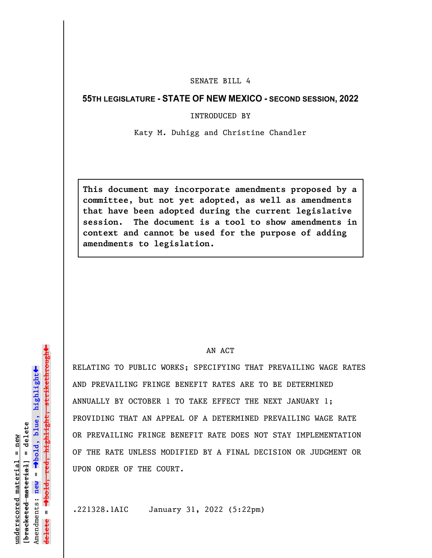## SENATE BILL 4

## **55TH LEGISLATURE - STATE OF NEW MEXICO - SECOND SESSION, 2022**

## INTRODUCED BY

Katy M. Duhigg and Christine Chandler

**This document may incorporate amendments proposed by a committee, but not yet adopted, as well as amendments that have been adopted during the current legislative session. The document is a tool to show amendments in context and cannot be used for the purpose of adding amendments to legislation.**

## AN ACT

RELATING TO PUBLIC WORKS; SPECIFYING THAT PREVAILING WAGE RATES AND PREVAILING FRINGE BENEFIT RATES ARE TO BE DETERMINED ANNUALLY BY OCTOBER 1 TO TAKE EFFECT THE NEXT JANUARY 1; PROVIDING THAT AN APPEAL OF A DETERMINED PREVAILING WAGE RATE OR PREVAILING FRINGE BENEFIT RATE DOES NOT STAY IMPLEMENTATION OF THE RATE UNLESS MODIFIED BY A FINAL DECISION OR JUDGMENT OR UPON ORDER OF THE COURT.

.221328.1AIC January 31, 2022 (5:22pm)

»º**bold, red, highlight, strikethrough** highlight, strikethrou  $\ddot{\bullet}$ º**bold, blue, highlight**  $b$ racketed material] = delete **[bracketed material] = delete** inderscored material = new **underscored material = new** Amendments: new = Amendments: **new** =  $\mathbf{u}$ **delete =** lelete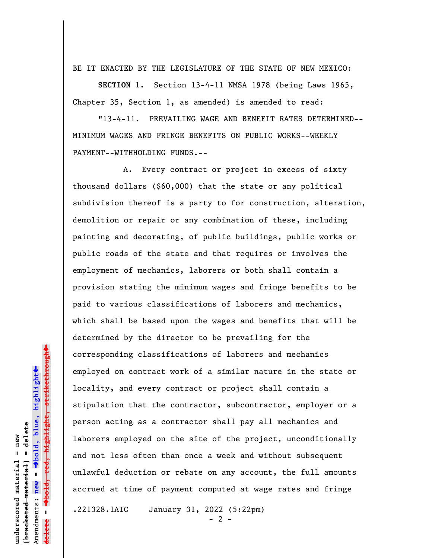BE IT ENACTED BY THE LEGISLATURE OF THE STATE OF NEW MEXICO:

**SECTION 1.** Section 13-4-11 NMSA 1978 (being Laws 1965, Chapter 35, Section 1, as amended) is amended to read:

"13-4-11. PREVAILING WAGE AND BENEFIT RATES DETERMINED-- MINIMUM WAGES AND FRINGE BENEFITS ON PUBLIC WORKS--WEEKLY PAYMENT--WITHHOLDING FUNDS.--

A. Every contract or project in excess of sixty thousand dollars (\$60,000) that the state or any political subdivision thereof is a party to for construction, alteration, demolition or repair or any combination of these, including painting and decorating, of public buildings, public works or public roads of the state and that requires or involves the employment of mechanics, laborers or both shall contain a provision stating the minimum wages and fringe benefits to be paid to various classifications of laborers and mechanics, which shall be based upon the wages and benefits that will be determined by the director to be prevailing for the corresponding classifications of laborers and mechanics employed on contract work of a similar nature in the state or locality, and every contract or project shall contain a stipulation that the contractor, subcontractor, employer or a person acting as a contractor shall pay all mechanics and laborers employed on the site of the project, unconditionally and not less often than once a week and without subsequent unlawful deduction or rebate on any account, the full amounts accrued at time of payment computed at wage rates and fringe

.221328.1AIC January 31, 2022 (5:22pm)

 $- 2 -$ 

 $\ddag$ º**bold, red, highlight, strikethrough**  $\ddot{\bullet}$ º**bold, blue, highlight**  $b$ racketed material] = delete **[bracketed material] = delete** inderscored material = new **underscored material = new** Amendments: **new** =  $\mathbf{I}$ Amendments: new **delete =**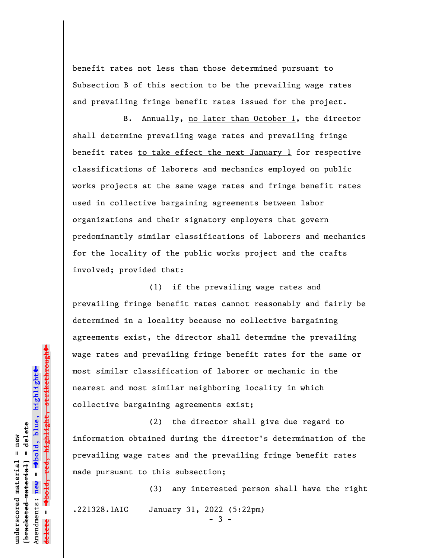benefit rates not less than those determined pursuant to Subsection B of this section to be the prevailing wage rates and prevailing fringe benefit rates issued for the project.

B. Annually, no later than October 1, the director shall determine prevailing wage rates and prevailing fringe benefit rates to take effect the next January 1 for respective classifications of laborers and mechanics employed on public works projects at the same wage rates and fringe benefit rates used in collective bargaining agreements between labor organizations and their signatory employers that govern predominantly similar classifications of laborers and mechanics for the locality of the public works project and the crafts involved; provided that:

(1) if the prevailing wage rates and prevailing fringe benefit rates cannot reasonably and fairly be determined in a locality because no collective bargaining agreements exist, the director shall determine the prevailing wage rates and prevailing fringe benefit rates for the same or most similar classification of laborer or mechanic in the nearest and most similar neighboring locality in which collective bargaining agreements exist;

(2) the director shall give due regard to information obtained during the director's determination of the prevailing wage rates and the prevailing fringe benefit rates made pursuant to this subsection;

(3) any interested person shall have the right .221328.1AIC January 31, 2022 (5:22pm) - 3 -

 $\ddag$ º**bold, red, highlight, strikethrough**  $\ddot{\bullet}$ º**bold, blue, highlight** bracketed material] = delete **[bracketed material] = delete** inderscored material = new **underscored material = new** Amendments: **new** = Amendments: new = **delete =**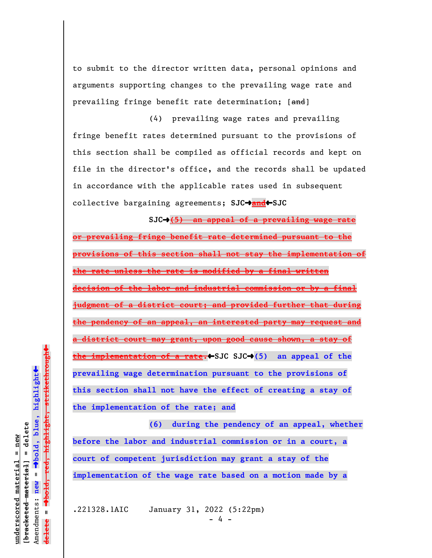to submit to the director written data, personal opinions and arguments supporting changes to the prevailing wage rate and prevailing fringe benefit rate determination; [and]

(4) prevailing wage rates and prevailing fringe benefit rates determined pursuant to the provisions of this section shall be compiled as official records and kept on file in the director's office, and the records shall be updated in accordance with the applicable rates used in subsequent collective bargaining agreements; **SJC**º**and**»**SJC**

**SJC**º**(5) an appeal of a prevailing wage rate or prevailing fringe benefit rate determined pursuant to the provisions of this section shall not stay the implementation of the rate unless the rate is modified by a final written decision of the labor and industrial commission or by a final judgment of a district court; and provided further that during the pendency of an appeal, an interested party may request and a district court may grant, upon good cause shown, a stay of the implementation of a rate.←SJC** SJC→(5) an appeal of the **prevailing wage determination pursuant to the provisions of this section shall not have the effect of creating a stay of the implementation of the rate; and**

**(6) during the pendency of an appeal, whether before the labor and industrial commission or in a court, a court of competent jurisdiction may grant a stay of the implementation of the wage rate based on a motion made by a**

.221328.1AIC January 31, 2022 (5:22pm)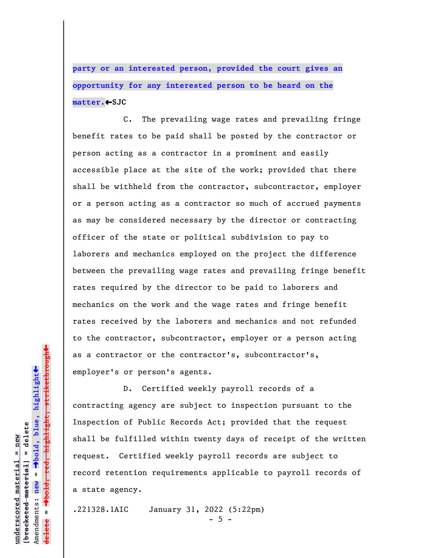**party or an interested person, provided the court gives an opportunity for any interested person to be heard on the matter.**»**SJC**

C. The prevailing wage rates and prevailing fringe benefit rates to be paid shall be posted by the contractor or person acting as a contractor in a prominent and easily accessible place at the site of the work; provided that there shall be withheld from the contractor, subcontractor, employer or a person acting as a contractor so much of accrued payments as may be considered necessary by the director or contracting officer of the state or political subdivision to pay to laborers and mechanics employed on the project the difference between the prevailing wage rates and prevailing fringe benefit rates required by the director to be paid to laborers and mechanics on the work and the wage rates and fringe benefit rates received by the laborers and mechanics and not refunded to the contractor, subcontractor, employer or a person acting as a contractor or the contractor's, subcontractor's, employer's or person's agents.

D. Certified weekly payroll records of a contracting agency are subject to inspection pursuant to the Inspection of Public Records Act; provided that the request shall be fulfilled within twenty days of receipt of the written request. Certified weekly payroll records are subject to record retention requirements applicable to payroll records of a state agency.

.221328.1AIC January 31, 2022 (5:22pm)

 $-5 -$ 

 $\ddag$ º**bold, red, highlight, strikethrough**  $\ddot{\bullet}$ º**bold, blue, highlight** bracketed material] = delete **[bracketed material] = delete** inderscored material = new **underscored material = new** Amendments: **new** =  $\mathbf{I}$ Amendments: new **delete =**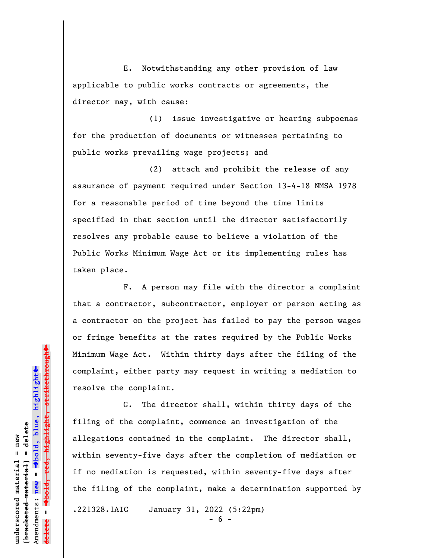E. Notwithstanding any other provision of law applicable to public works contracts or agreements, the director may, with cause:

(1) issue investigative or hearing subpoenas for the production of documents or witnesses pertaining to public works prevailing wage projects; and

(2) attach and prohibit the release of any assurance of payment required under Section 13-4-18 NMSA 1978 for a reasonable period of time beyond the time limits specified in that section until the director satisfactorily resolves any probable cause to believe a violation of the Public Works Minimum Wage Act or its implementing rules has taken place.

F. A person may file with the director a complaint that a contractor, subcontractor, employer or person acting as a contractor on the project has failed to pay the person wages or fringe benefits at the rates required by the Public Works Minimum Wage Act. Within thirty days after the filing of the complaint, either party may request in writing a mediation to resolve the complaint.

G. The director shall, within thirty days of the filing of the complaint, commence an investigation of the allegations contained in the complaint. The director shall, within seventy-five days after the completion of mediation or if no mediation is requested, within seventy-five days after the filing of the complaint, make a determination supported by .221328.1AIC January 31, 2022 (5:22pm)

- 6 -

º**bold, red, highlight, strikethrough**  $\ddot{\bullet}$ º**bold, blue, highlight**  $b$ racketed material] = delete **[bracketed material] = delete** inderscored material = new **underscored material = new** Amendments: **new** =  $\mathbf{I}$ Amendments: new **delete =**

 $\ddag$